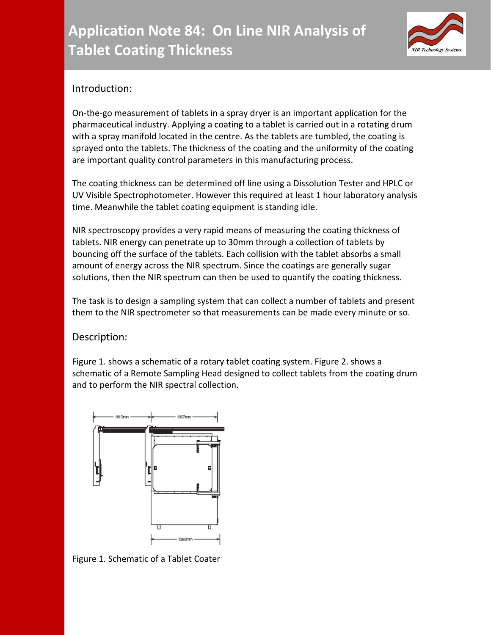

## Introduction:

On-the-go measurement of tablets in a spray dryer is an important application for the pharmaceutical industry. Applying a coating to a tablet is carried out in a rotating drum with a spray manifold located in the centre. As the tablets are tumbled, the coating is sprayed onto the tablets. The thickness of the coating and the uniformity of the coating are important quality control parameters in this manufacturing process.

The coating thickness can be determined off line using a Dissolution Tester and HPLC or UV Visible Spectrophotometer. However this required at least 1 hour laboratory analysis time. Meanwhile the tablet coating equipment is standing idle.

NIR spectroscopy provides a very rapid means of measuring the coating thickness of tablets. NIR energy can penetrate up to 30mm through a collection of tablets by bouncing off the surface of the tablets. Each collision with the tablet absorbs a small amount of energy across the NIR spectrum. Since the coatings are generally sugar solutions, then the NIR spectrum can then be used to quantify the coating thickness.

The task is to design a sampling system that can collect a number of tablets and present them to the NIR spectrometer so that measurements can be made every minute or so.

## Description:

Figure 1. shows a schematic of a rotary tablet coating system. Figure 2. shows a schematic of a Remote Sampling Head designed to collect tablets from the coating drum and to perform the NIR spectral collection.



Figure 1. Schematic of a Tablet Coater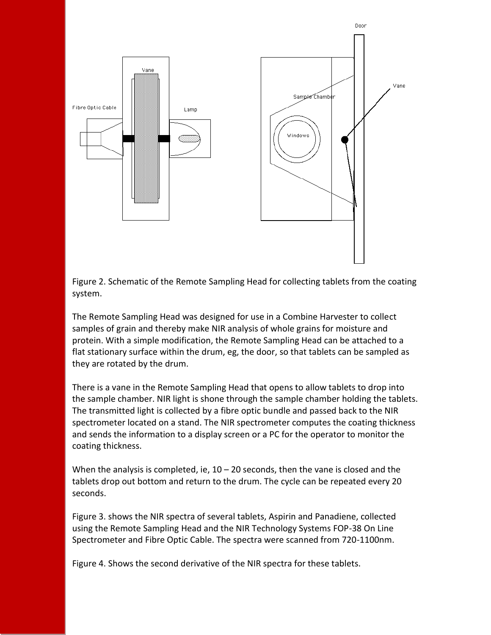

Figure 2. Schematic of the Remote Sampling Head for collecting tablets from the coating system.

The Remote Sampling Head was designed for use in a Combine Harvester to collect samples of grain and thereby make NIR analysis of whole grains for moisture and protein. With a simple modification, the Remote Sampling Head can be attached to a flat stationary surface within the drum, eg, the door, so that tablets can be sampled as they are rotated by the drum.

There is a vane in the Remote Sampling Head that opens to allow tablets to drop into the sample chamber. NIR light is shone through the sample chamber holding the tablets. The transmitted light is collected by a fibre optic bundle and passed back to the NIR spectrometer located on a stand. The NIR spectrometer computes the coating thickness and sends the information to a display screen or a PC for the operator to monitor the coating thickness.

When the analysis is completed, ie,  $10 - 20$  seconds, then the vane is closed and the tablets drop out bottom and return to the drum. The cycle can be repeated every 20 seconds.

Figure 3. shows the NIR spectra of several tablets, Aspirin and Panadiene, collected using the Remote Sampling Head and the NIR Technology Systems FOP-38 On Line Spectrometer and Fibre Optic Cable. The spectra were scanned from 720-1100nm.

Figure 4. Shows the second derivative of the NIR spectra for these tablets.